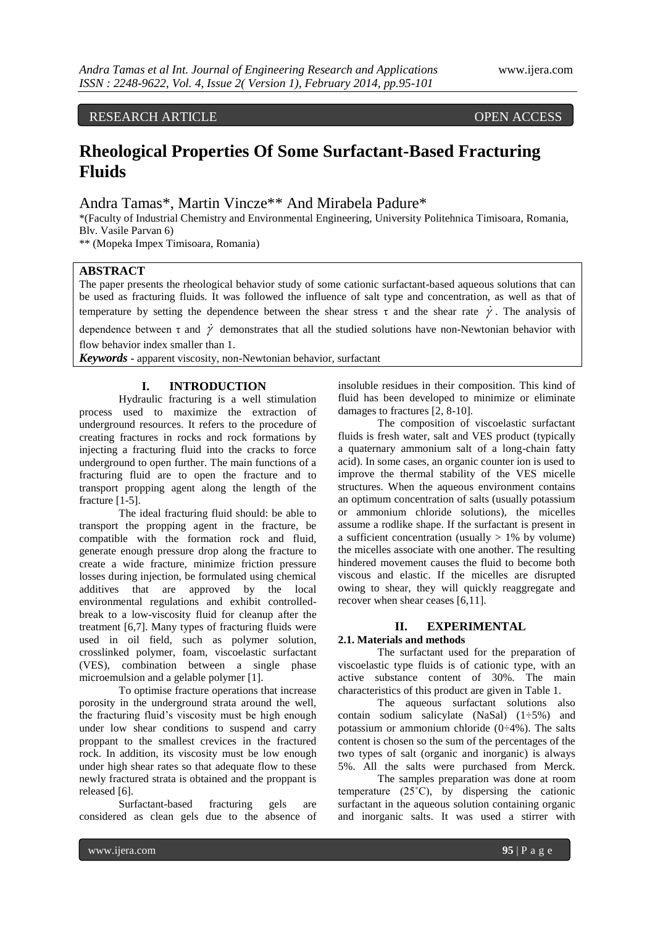## RESEARCH ARTICLE **OPEN ACCESS**

# **Rheological Properties Of Some Surfactant-Based Fracturing Fluids**

# Andra Tamas\*, Martin Vincze\*\* And Mirabela Padure\*

\*(Faculty of Industrial Chemistry and Environmental Engineering, University Politehnica Timisoara, Romania, Blv. Vasile Parvan 6)

\*\* (Mopeka Impex Timisoara, Romania)

#### **ABSTRACT**

The paper presents the rheological behavior study of some cationic surfactant-based aqueous solutions that can be used as fracturing fluids. It was followed the influence of salt type and concentration, as well as that of temperature by setting the dependence between the shear stress  $\tau$  and the shear rate  $\dot{\gamma}$ . The analysis of

dependence between  $\tau$  and  $\dot{\gamma}$  demonstrates that all the studied solutions have non-Newtonian behavior with flow behavior index smaller than 1.

*Keywords* **-** apparent viscosity, non-Newtonian behavior, surfactant

#### **I. INTRODUCTION**

Hydraulic fracturing is a well stimulation process used to maximize the extraction of underground resources. It refers to the procedure of creating fractures in rocks and rock formations by injecting a fracturing fluid into the cracks to force underground to open further. The main functions of a fracturing fluid are to open the fracture and to transport propping agent along the length of the fracture [1-5].

The ideal fracturing fluid should: be able to transport the propping agent in the fracture, be compatible with the formation rock and fluid, generate enough pressure drop along the fracture to create a wide fracture, minimize friction pressure losses during injection, be formulated using chemical additives that are approved by the local environmental regulations and exhibit controlledbreak to a low-viscosity fluid for cleanup after the treatment [6,7]. Many types of fracturing fluids were used in oil field, such as polymer solution, crosslinked polymer, foam, viscoelastic surfactant (VES), combination between a single phase microemulsion and a gelable polymer [1].

To optimise fracture operations that increase porosity in the underground strata around the well, the fracturing fluid's viscosity must be high enough under low shear conditions to suspend and carry proppant to the smallest crevices in the fractured rock. In addition, its viscosity must be low enough under high shear rates so that adequate flow to these newly fractured strata is obtained and the proppant is released [6].

Surfactant-based fracturing gels are considered as clean gels due to the absence of

insoluble residues in their composition. This kind of fluid has been developed to minimize or eliminate damages to fractures [2, 8-10].

The composition of viscoelastic surfactant fluids is fresh water, salt and VES product (typically a quaternary ammonium salt of a long-chain fatty acid). In some cases, an organic counter ion is used to improve the thermal stability of the VES micelle structures. When the aqueous environment contains an optimum concentration of salts (usually potassium or ammonium chloride solutions), the micelles assume a rodlike shape. If the surfactant is present in a sufficient concentration (usually  $> 1\%$  by volume) the micelles associate with one another. The resulting hindered movement causes the fluid to become both viscous and elastic. If the micelles are disrupted owing to shear, they will quickly reaggregate and recover when shear ceases [6,11].

### **II. EXPERIMENTAL**

### **2.1. Materials and methods** The surfactant used for the preparation of viscoelastic type fluids is of cationic type, with an active substance content of 30%. The main characteristics of this product are given in Table 1.

The aqueous surfactant solutions also contain sodium salicylate (NaSal)  $(1\div 5\%)$  and potassium or ammonium chloride (0÷4%). The salts content is chosen so the sum of the percentages of the two types of salt (organic and inorganic) is always 5%. All the salts were purchased from Merck.

The samples preparation was done at room temperature (25˚C), by dispersing the cationic surfactant in the aqueous solution containing organic and inorganic salts. It was used a stirrer with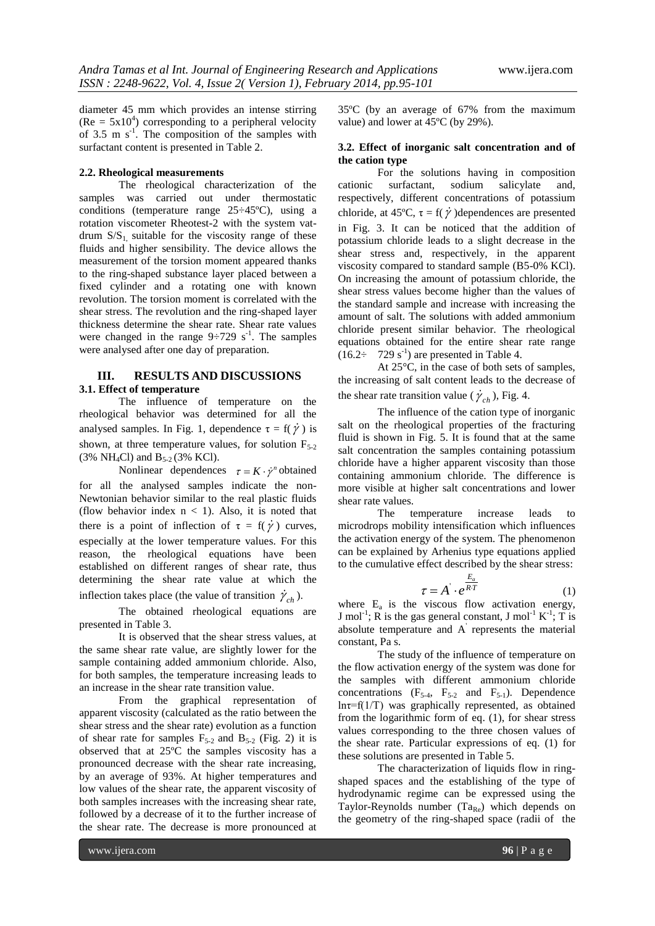diameter 45 mm which provides an intense stirring  $(Re = 5x10<sup>4</sup>)$  corresponding to a peripheral velocity of 3.5 m  $s^{-1}$ . The composition of the samples with surfactant content is presented in Table 2.

#### **2.2. Rheological measurements**

The rheological characterization of the samples was carried out under thermostatic conditions (temperature range 25÷45ºC), using a rotation viscometer Rheotest-2 with the system vatdrum  $S/S_1$ , suitable for the viscosity range of these fluids and higher sensibility. The device allows the measurement of the torsion moment appeared thanks to the ring-shaped substance layer placed between a fixed cylinder and a rotating one with known revolution. The torsion moment is correlated with the shear stress. The revolution and the ring-shaped layer thickness determine the shear rate. Shear rate values were changed in the range  $9 \div 729$  s<sup>-1</sup>. The samples were analysed after one day of preparation.

#### **III. RESULTS AND DISCUSSIONS 3.1. Effect of temperature**

The influence of temperature on the rheological behavior was determined for all the analysed samples. In Fig. 1, dependence  $\tau = f(\dot{\gamma})$  is shown, at three temperature values, for solution  $F_{5-2}$ (3% NH<sub>4</sub>Cl) and  $B_{5-2}$  (3% KCl).

Nonlinear dependences  $\tau = K \cdot \dot{\gamma}^n$  obtained for all the analysed samples indicate the non-Newtonian behavior similar to the real plastic fluids (flow behavior index  $n < 1$ ). Also, it is noted that there is a point of inflection of  $\tau = f(\dot{\gamma})$  curves, especially at the lower temperature values. For this reason, the rheological equations have been established on different ranges of shear rate, thus determining the shear rate value at which the inflection takes place (the value of transition  $\dot{\gamma}_{ch}$ ).

The obtained rheological equations are presented in Table 3.

It is observed that the shear stress values, at the same shear rate value, are slightly lower for the sample containing added ammonium chloride. Also, for both samples, the temperature increasing leads to an increase in the shear rate transition value.

From the graphical representation of apparent viscosity (calculated as the ratio between the shear stress and the shear rate) evolution as a function of shear rate for samples  $F_{5-2}$  and  $B_{5-2}$  (Fig. 2) it is observed that at 25ºC the samples viscosity has a pronounced decrease with the shear rate increasing, by an average of 93%. At higher temperatures and low values of the shear rate, the apparent viscosity of both samples increases with the increasing shear rate, followed by a decrease of it to the further increase of the shear rate. The decrease is more pronounced at

35ºC (by an average of 67% from the maximum value) and lower at 45ºC (by 29%).

#### **3.2. Effect of inorganic salt concentration and of the cation type**

For the solutions having in composition cationic surfactant, sodium salicylate and, respectively, different concentrations of potassium chloride, at 45°C,  $\tau = f(\dot{\gamma})$ dependences are presented in Fig. 3. It can be noticed that the addition of potassium chloride leads to a slight decrease in the shear stress and, respectively, in the apparent viscosity compared to standard sample (B5-0% KCl). On increasing the amount of potassium chloride, the shear stress values become higher than the values of the standard sample and increase with increasing the amount of salt. The solutions with added ammonium chloride present similar behavior. The rheological equations obtained for the entire shear rate range  $(16.2 \div 729 \text{ s}^{-1})$  are presented in Table 4.

At 25°C, in the case of both sets of samples, the increasing of salt content leads to the decrease of the shear rate transition value ( $\dot{\gamma}_{ch}$ ), Fig. 4.

The influence of the cation type of inorganic salt on the rheological properties of the fracturing fluid is shown in Fig. 5. It is found that at the same salt concentration the samples containing potassium chloride have a higher apparent viscosity than those containing ammonium chloride. The difference is more visible at higher salt concentrations and lower shear rate values.

The temperature increase leads to microdrops mobility intensification which influences the activation energy of the system. The phenomenon can be explained by Arhenius type equations applied to the cumulative effect described by the shear stress:

$$
\tau = A \cdot e^{\frac{E_a}{RT}} \tag{1}
$$

where  $E_a$  is the viscous flow activation energy, J mol<sup>-1</sup>; R is the gas general constant, J mol<sup>-1</sup> K<sup>-1</sup>; T is absolute temperature and A' represents the material constant, Pa s.

The study of the influence of temperature on the flow activation energy of the system was done for the samples with different ammonium chloride concentrations  $(F_{5-4}, F_{5-2}$  and  $F_{5-1}$ ). Dependence  $ln\tau=f(1/T)$  was graphically represented, as obtained from the logarithmic form of eq. (1), for shear stress values corresponding to the three chosen values of the shear rate. Particular expressions of eq. (1) for these solutions are presented in Table 5.

The characterization of liquids flow in ringshaped spaces and the establishing of the type of hydrodynamic regime can be expressed using the Taylor-Reynolds number  $(Ta_{Re})$  which depends on the geometry of the ring-shaped space (radii of the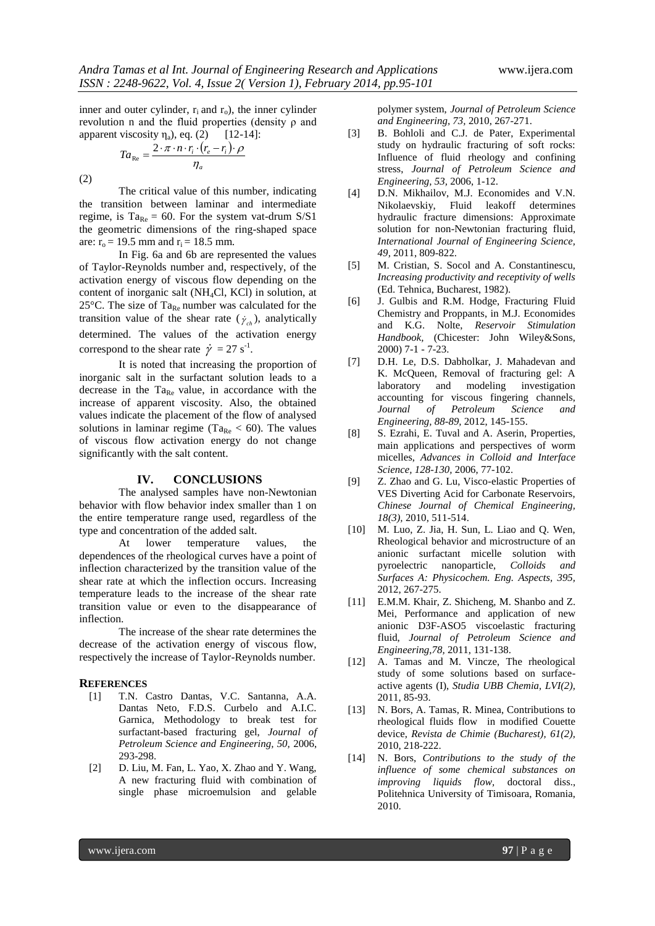inner and outer cylinder,  $r_i$  and  $r_o$ ), the inner cylinder revolution n and the fluid properties (density ρ and apparent viscosity  $\eta_a$ ), eq. (2) [12-14]:

$$
Ta_{\text{Re}} = \frac{2 \cdot \pi \cdot n \cdot r_i \cdot (r_e - r_i) \cdot \rho}{\eta_a}
$$

(2)

The critical value of this number, indicating the transition between laminar and intermediate regime, is  $Ta_{Re} = 60$ . For the system vat-drum  $S/S1$ the geometric dimensions of the ring-shaped space are:  $r_0 = 19.5$  mm and  $r_i = 18.5$  mm.

In Fig. 6a and 6b are represented the values of Taylor-Reynolds number and, respectively, of the activation energy of viscous flow depending on the content of inorganic salt (NH4Cl, KCl) in solution, at 25 $\degree$ C. The size of Ta<sub>Re</sub> number was calculated for the transition value of the shear rate  $(\dot{\gamma}_{ch})$ , analytically determined. The values of the activation energy correspond to the shear rate  $\dot{\gamma} = 27 \text{ s}^{-1}$ .

It is noted that increasing the proportion of inorganic salt in the surfactant solution leads to a decrease in the  $Ta_{Re}$  value, in accordance with the increase of apparent viscosity. Also, the obtained values indicate the placement of the flow of analysed solutions in laminar regime (Ta<sub>Re</sub>  $<$  60). The values of viscous flow activation energy do not change significantly with the salt content.

#### **IV. CONCLUSIONS**

The analysed samples have non-Newtonian behavior with flow behavior index smaller than 1 on the entire temperature range used, regardless of the type and concentration of the added salt.

At lower temperature values, the dependences of the rheological curves have a point of inflection characterized by the transition value of the shear rate at which the inflection occurs. Increasing temperature leads to the increase of the shear rate transition value or even to the disappearance of inflection.

The increase of the shear rate determines the decrease of the activation energy of viscous flow, respectively the increase of Taylor-Reynolds number.

#### **REFERENCES**

- [1] T.N. Castro Dantas, V.C. Santanna, A.A. Dantas Neto, F.D.S. Curbelo and A.I.C. Garnica, Methodology to break test for surfactant-based fracturing gel, *Journal of Petroleum Science and Engineering, 50,* 2006, 293-298.
- [2] D. Liu, M. Fan, L. Yao, X. Zhao and Y. Wang, A new fracturing fluid with combination of single phase microemulsion and gelable

polymer system, *Journal of Petroleum Science and Engineering, 73,* 2010, 267-271.

- [3] B. Bohloli and C.J. de Pater, Experimental study on hydraulic fracturing of soft rocks: Influence of fluid rheology and confining stress, *Journal of Petroleum Science and Engineering, 53,* 2006, 1-12.
- [4] D.N. Mikhailov, M.J. Economides and V.N. Nikolaevskiy, Fluid leakoff determines hydraulic fracture dimensions: Approximate solution for non-Newtonian fracturing fluid, *International Journal of Engineering Science, 49,* 2011, 809-822.
- [5] M. Cristian, S. Socol and A. Constantinescu, *Increasing productivity and receptivity of wells* (Ed. Tehnica, Bucharest, 1982).
- [6] J. Gulbis and R.M. Hodge, Fracturing Fluid Chemistry and Proppants, in M.J. Economides and K.G. Nolte, *Reservoir Stimulation Handbook,* (Chicester: John Wiley&Sons, 2000) 7-1 - 7-23.
- [7] D.H. Le, D.S. Dabholkar, J. Mahadevan and K. McQueen, Removal of fracturing gel: A laboratory and modeling investigation accounting for viscous fingering channels, *Journal of Petroleum Science and Engineering, 88-89,* 2012, 145-155.
- [8] S. Ezrahi, E. Tuval and A. Aserin, Properties, main applications and perspectives of worm micelles, *Advances in Colloid and Interface Science, 128-130,* 2006, 77-102.
- [9] Z. Zhao and G. Lu, Visco-elastic Properties of VES Diverting Acid for Carbonate Reservoirs, *Chinese Journal of Chemical Engineering, 18(3),* 2010, 511-514.
- [10] M. Luo, Z. Jia, H. Sun, L. Liao and Q. Wen, Rheological behavior and microstructure of an anionic surfactant micelle solution with pyroelectric nanoparticle, *Colloids and Surfaces A: Physicochem. Eng. Aspects, 395,*  2012, 267-275.
- [11] E.M.M. Khair, Z. Shicheng, M. Shanbo and Z. Mei, Performance and application of new anionic D3F-ASO5 viscoelastic fracturing fluid, *Journal of Petroleum Science and Engineering,78,* 2011, 131-138.
- [12] A. Tamas and M. Vincze, The rheological study of some solutions based on surfaceactive agents (I), *Studia UBB Chemia, LVI(2),*  2011, 85-93.
- [13] N. Bors, A. Tamas, R. Minea, Contributions to rheological fluids flow in modified Couette device, *Revista de Chimie (Bucharest), 61(2),*  2010, 218-222.
- [14] N. Bors, *Contributions to the study of the influence of some chemical substances on improving liquids flow,* doctoral diss., Politehnica University of Timisoara, Romania, 2010.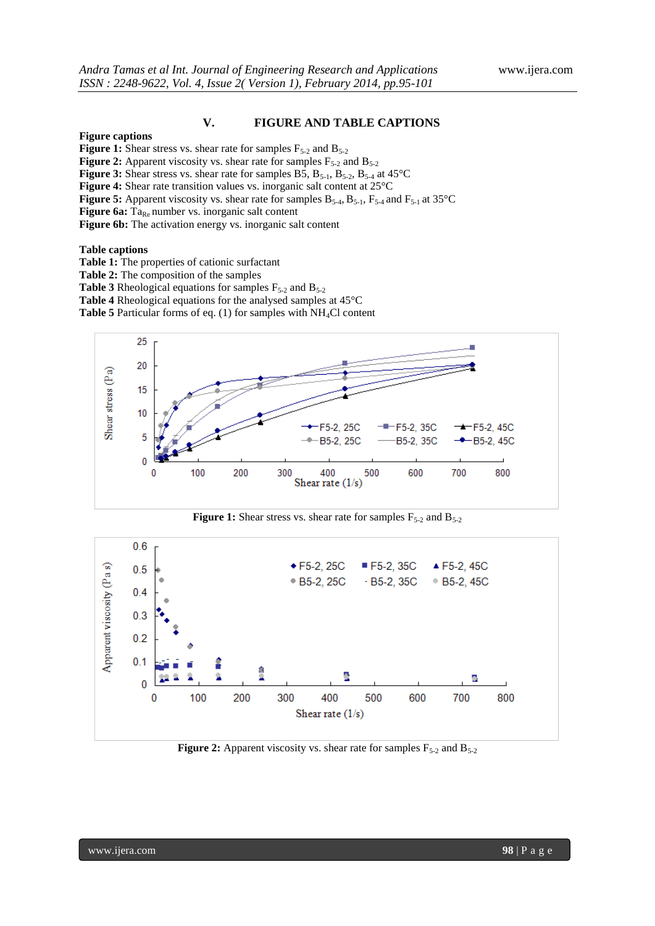#### **V. FIGURE AND TABLE CAPTIONS**

#### **Figure captions**

**Figure 1:** Shear stress vs. shear rate for samples  $F_{5-2}$  and  $B_{5-2}$ 

**Figure 2:** Apparent viscosity vs. shear rate for samples  $F_{5-2}$  and  $B_{5-2}$ 

**Figure 3:** Shear stress vs. shear rate for samples B5,  $B_{5-1}$ ,  $B_{5-2}$ ,  $B_{5-4}$  at  $45^{\circ}$ C

**Figure 4:** Shear rate transition values vs. inorganic salt content at 25°C

**Figure 5:** Apparent viscosity vs. shear rate for samples  $B_{5-4}$ ,  $B_{5-1}$ ,  $F_{5-4}$  and  $F_{5-1}$  at 35°C

**Figure 6a:**  $Ta_{Re}$  number vs. inorganic salt content

**Figure 6b:** The activation energy vs. inorganic salt content

#### **Table captions**

**Table 1:** The properties of cationic surfactant

**Table 2:** The composition of the samples

**Table 3** Rheological equations for samples  $F_{5-2}$  and  $B_{5-2}$ 

**Table 4** Rheological equations for the analysed samples at 45°C

Table 5 Particular forms of eq. (1) for samples with NH<sub>4</sub>Cl content







**Figure 2:** Apparent viscosity vs. shear rate for samples  $F_{5-2}$  and  $B_{5-2}$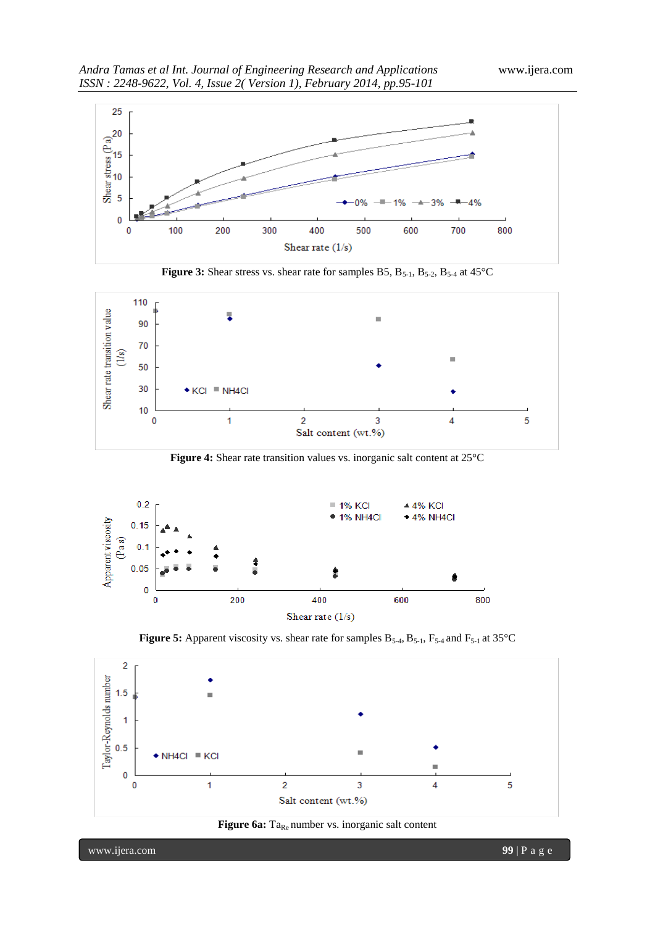

**Figure 3:** Shear stress vs. shear rate for samples B5, B<sub>5-1</sub>, B<sub>5-2</sub>, B<sub>5-4</sub> at 45°C



**Figure 4:** Shear rate transition values vs. inorganic salt content at 25°C



**Figure 5:** Apparent viscosity vs. shear rate for samples  $B_{5-4}$ ,  $B_{5-1}$ ,  $F_{5-4}$  and  $F_{5-1}$  at 35°C





www.ijera.com **99** | P a g e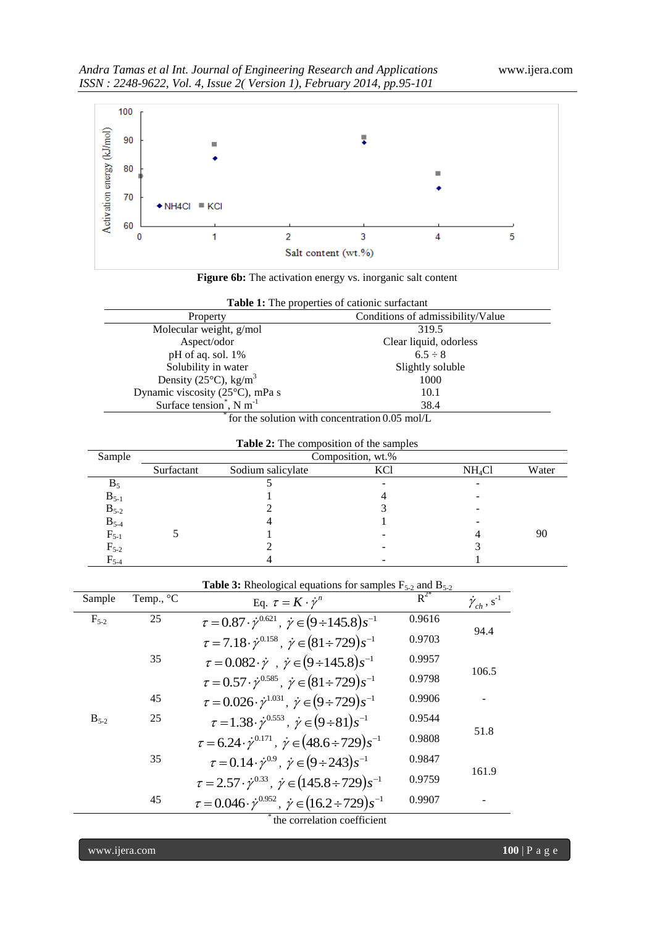



| Table 1: The properties of cationic surfactant<br>Conditions of admissibility/Value<br>Property |                        |  |  |
|-------------------------------------------------------------------------------------------------|------------------------|--|--|
|                                                                                                 |                        |  |  |
| Molecular weight, g/mol                                                                         | 319.5                  |  |  |
| Aspect/odor                                                                                     | Clear liquid, odorless |  |  |
| pH of aq. sol. 1%                                                                               | $6.5 \div 8$           |  |  |
| Solubility in water                                                                             | Slightly soluble       |  |  |
| Density ( $25^{\circ}$ C), kg/m <sup>3</sup>                                                    | 1000                   |  |  |
| Dynamic viscosity (25°C), mPa s                                                                 | 10.1                   |  |  |
| Surface tension <sup>*</sup> , N m <sup>-1</sup><br>38.4                                        |                        |  |  |

| for the solution with concentration 0.05 mol/L |  |
|------------------------------------------------|--|
|------------------------------------------------|--|

| <b>Table 2:</b> The composition of the samples |  |
|------------------------------------------------|--|
|                                                |  |

| Sample    |            |                   | Composition, wt.% |                    |       |
|-----------|------------|-------------------|-------------------|--------------------|-------|
|           | Surfactant | Sodium salicylate | KCl               | NH <sub>4</sub> Cl | Water |
| $B_5$     |            |                   | -                 |                    |       |
| $B_{5-1}$ |            |                   |                   |                    |       |
| $B_{5-2}$ |            |                   |                   |                    |       |
| $B_{5-4}$ |            |                   |                   |                    |       |
| $F_{5-1}$ |            |                   |                   |                    | 90    |
| $F_{5-2}$ |            |                   | -                 |                    |       |
| $F_{5-4}$ |            |                   |                   |                    |       |

|           |                    | <b>Table 3:</b> Rheological equations for samples $F_{5-2}$ and $B_{5-2}$            |          |                                       |
|-----------|--------------------|--------------------------------------------------------------------------------------|----------|---------------------------------------|
| Sample    | Temp., $^{\circ}C$ | Eq. $\tau = K \cdot \dot{\gamma}^n$                                                  | $R^{2*}$ | $\dot{\gamma}_{ch}$ , s <sup>-1</sup> |
| $F_{5-2}$ | 25                 | $\tau = 0.87 \cdot \dot{\gamma}^{0.621}$ , $\dot{\gamma} \in (9 \div 145.8) s^{-1}$  | 0.9616   | 94.4                                  |
|           |                    | $\tau = 7.18 \cdot \dot{\gamma}^{0.158}$ , $\dot{\gamma} \in (81 \div 729) s^{-1}$   | 0.9703   |                                       |
|           | 35                 | $\tau = 0.082 \cdot \dot{\gamma}$ , $\dot{\gamma} \in (9 \div 145.8) s^{-1}$         | 0.9957   |                                       |
|           |                    | $\tau = 0.57 \cdot \dot{\gamma}^{0.585}$ , $\dot{\gamma} \in (81 \div 729) s^{-1}$   | 0.9798   | 106.5                                 |
|           | 45                 | $\tau = 0.026 \cdot \dot{\gamma}^{1.031}, \ \dot{\gamma} \in (9 \div 729) s^{-1}$    | 0.9906   |                                       |
| $B_{5-2}$ | 25                 | $\tau = 1.38 \cdot \dot{\gamma}^{0.553}$ , $\dot{\gamma} \in (9 \div 81) s^{-1}$     | 0.9544   |                                       |
|           |                    | $\tau = 6.24 \cdot \dot{\gamma}^{0.171}$ , $\dot{\gamma} \in (48.6 \div 729) s^{-1}$ | 0.9808   | 51.8                                  |
|           | 35                 | $\tau = 0.14 \cdot \dot{\gamma}^{0.9}, \ \dot{\gamma} \in (9 \div 243) s^{-1}$       | 0.9847   |                                       |
|           |                    | $\tau = 2.57 \cdot \dot{\gamma}^{0.33}$ , $\dot{\gamma} \in (145.8 \div 729) s^{-1}$ | 0.9759   | 161.9                                 |
|           | 45                 | $\tau = 0.046 \cdot \dot{\gamma}^{0.952}$ , $\dot{\gamma} \in (16.2 \div 729)s^{-1}$ | 0.9907   |                                       |
|           |                    |                                                                                      |          |                                       |

the correlation coefficient